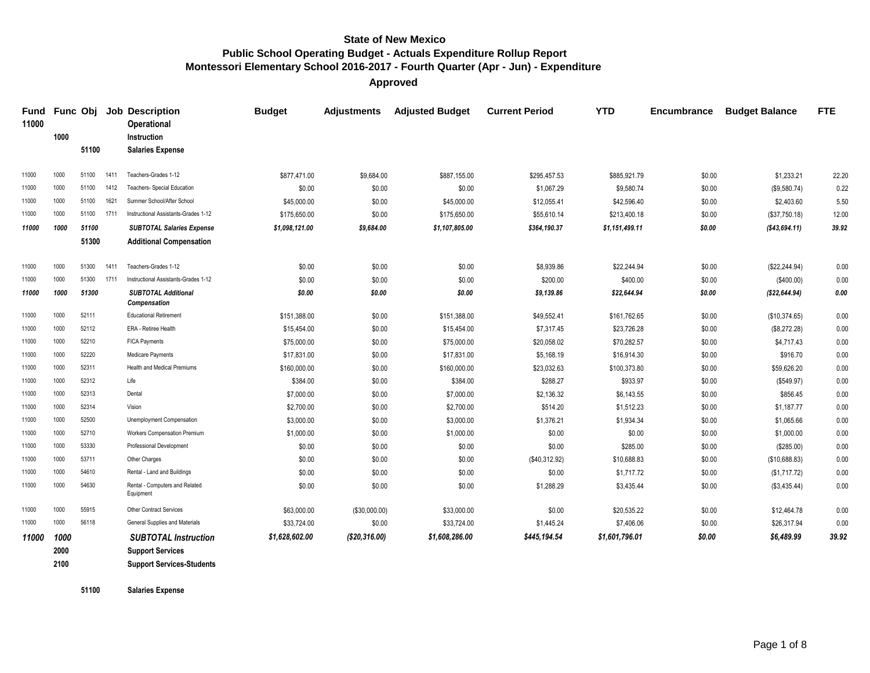**Approved**

| 11000 |              | Func Obj |      | <b>Job Description</b><br>Operational                       | <b>Budget</b>  | <b>Adjustments</b> | <b>Adjusted Budget</b> | <b>Current Period</b> | <b>YTD</b>     | Encumbrance | <b>Budget Balance</b> | <b>FTE</b> |
|-------|--------------|----------|------|-------------------------------------------------------------|----------------|--------------------|------------------------|-----------------------|----------------|-------------|-----------------------|------------|
|       | 1000         |          |      | Instruction                                                 |                |                    |                        |                       |                |             |                       |            |
|       |              | 51100    |      | <b>Salaries Expense</b>                                     |                |                    |                        |                       |                |             |                       |            |
| 11000 | 1000         | 51100    | 1411 | Teachers-Grades 1-12                                        | \$877,471.00   | \$9,684.00         | \$887.155.00           | \$295.457.53          | \$885.921.79   | \$0.00      | \$1.233.21            | 22.20      |
| 11000 | 1000         | 51100    | 1412 | Teachers- Special Education                                 | \$0.00         | \$0.00             | \$0.00                 | \$1,067.29            | \$9,580.74     | \$0.00      | (\$9,580.74)          | 0.22       |
| 11000 | 1000         | 51100    | 1621 | Summer School/After School                                  | \$45,000.00    | \$0.00             | \$45,000.00            | \$12,055.41           | \$42,596.40    | \$0.00      | \$2,403.60            | 5.50       |
| 11000 | 1000         | 51100    | 1711 | Instructional Assistants-Grades 1-12                        | \$175,650.00   | \$0.00             | \$175,650.00           | \$55,610.14           | \$213,400.18   | \$0.00      | (\$37,750.18)         | 12.00      |
| 11000 | 1000         | 51100    |      | <b>SUBTOTAL Salaries Expense</b>                            | \$1,098,121.00 | \$9,684.00         | \$1,107,805.00         | \$364,190.37          | \$1,151,499.11 | \$0.00      | ( \$43,694.11)        | 39.92      |
|       |              | 51300    |      | <b>Additional Compensation</b>                              |                |                    |                        |                       |                |             |                       |            |
| 11000 | 1000         | 51300    | 1411 | Teachers-Grades 1-12                                        | \$0.00         | \$0.00             | \$0.00                 | \$8,939.86            | \$22,244.94    | \$0.00      | (\$22, 244.94)        | 0.00       |
| 11000 | 1000         | 51300    | 1711 | Instructional Assistants-Grades 1-12                        | \$0.00         | \$0.00             | \$0.00                 | \$200.00              | \$400.00       | \$0.00      | (\$400.00)            | 0.00       |
| 11000 | 1000         | 51300    |      | <b>SUBTOTAL Additional</b><br>Compensation                  | \$0.00         | \$0.00             | \$0.00                 | \$9,139.86            | \$22,644.94    | \$0.00      | (\$22,644.94)         | 0.00       |
| 11000 | 1000         | 52111    |      | <b>Educational Retirement</b>                               | \$151,388.00   | \$0.00             | \$151,388.00           | \$49,552.41           | \$161,762.65   | \$0.00      | (\$10,374.65)         | 0.00       |
| 11000 | 1000         | 52112    |      | ERA - Retiree Health                                        | \$15,454.00    | \$0.00             | \$15,454.00            | \$7,317.45            | \$23,726.28    | \$0.00      | (\$8,272.28)          | 0.00       |
| 11000 | 1000         | 52210    |      | FICA Payments                                               | \$75,000.00    | \$0.00             | \$75,000.00            | \$20,058.02           | \$70,282.57    | \$0.00      | \$4,717.43            | 0.00       |
| 11000 | 1000         | 52220    |      | Medicare Payments                                           | \$17,831.00    | \$0.00             | \$17,831.00            | \$5,168.19            | \$16,914.30    | \$0.00      | \$916.70              | 0.00       |
| 11000 | 1000         | 52311    |      | <b>Health and Medical Premiums</b>                          | \$160,000.00   | \$0.00             | \$160,000.00           | \$23,032.63           | \$100,373.80   | \$0.00      | \$59,626.20           | 0.00       |
| 11000 | 1000         | 52312    |      | Life                                                        | \$384.00       | \$0.00             | \$384.00               | \$288.27              | \$933.97       | \$0.00      | (\$549.97)            | 0.00       |
| 11000 | 1000         | 52313    |      | Dental                                                      | \$7,000.00     | \$0.00             | \$7,000.00             | \$2,136.32            | \$6,143.55     | \$0.00      | \$856.45              | 0.00       |
| 11000 | 1000         | 52314    |      | Vision                                                      | \$2,700.00     | \$0.00             | \$2,700.00             | \$514.20              | \$1,512.23     | \$0.00      | \$1,187.77            | 0.00       |
| 11000 | 1000         | 52500    |      | Unemployment Compensation                                   | \$3,000.00     | \$0.00             | \$3,000.00             | \$1,376.21            | \$1,934.34     | \$0.00      | \$1,065.66            | 0.00       |
| 11000 | 1000         | 52710    |      | Workers Compensation Premium                                | \$1,000.00     | \$0.00             | \$1,000.00             | \$0.00                | \$0.00         | \$0.00      | \$1,000.00            | 0.00       |
| 11000 | 1000         | 53330    |      | Professional Development                                    | \$0.00         | \$0.00             | \$0.00                 | \$0.00                | \$285.00       | \$0.00      | (\$285.00)            | 0.00       |
| 11000 | 1000         | 53711    |      | Other Charges                                               | \$0.00         | \$0.00             | \$0.00                 | (\$40,312.92)         | \$10,688.83    | \$0.00      | (\$10,688.83)         | 0.00       |
| 11000 | 1000         | 54610    |      | Rental - Land and Buildings                                 | \$0.00         | \$0.00             | \$0.00                 | \$0.00                | \$1,717.72     | \$0.00      | (\$1,717.72)          | 0.00       |
| 11000 | 1000         | 54630    |      | Rental - Computers and Related<br>Equipment                 | \$0.00         | \$0.00             | \$0.00                 | \$1,288.29            | \$3,435.44     | \$0.00      | (\$3,435.44)          | 0.00       |
| 11000 | 1000         | 55915    |      | Other Contract Services                                     | \$63,000.00    | (\$30,000.00)      | \$33,000.00            | \$0.00                | \$20,535.22    | \$0.00      | \$12,464.78           | 0.00       |
| 11000 | 1000         | 56118    |      | General Supplies and Materials                              | \$33,724.00    | \$0.00             | \$33,724.00            | \$1,445.24            | \$7,406.06     | \$0.00      | \$26,317.94           | 0.00       |
| 11000 | 1000         |          |      | <b>SUBTOTAL Instruction</b>                                 | \$1,628,602.00 | (\$20,316.00)      | \$1,608,286.00         | \$445,194.54          | \$1,601,796.01 | \$0.00      | \$6,489.99            | 39.92      |
|       | 2000<br>2100 |          |      | <b>Support Services</b><br><b>Support Services-Students</b> |                |                    |                        |                       |                |             |                       |            |

**Salaries Expense**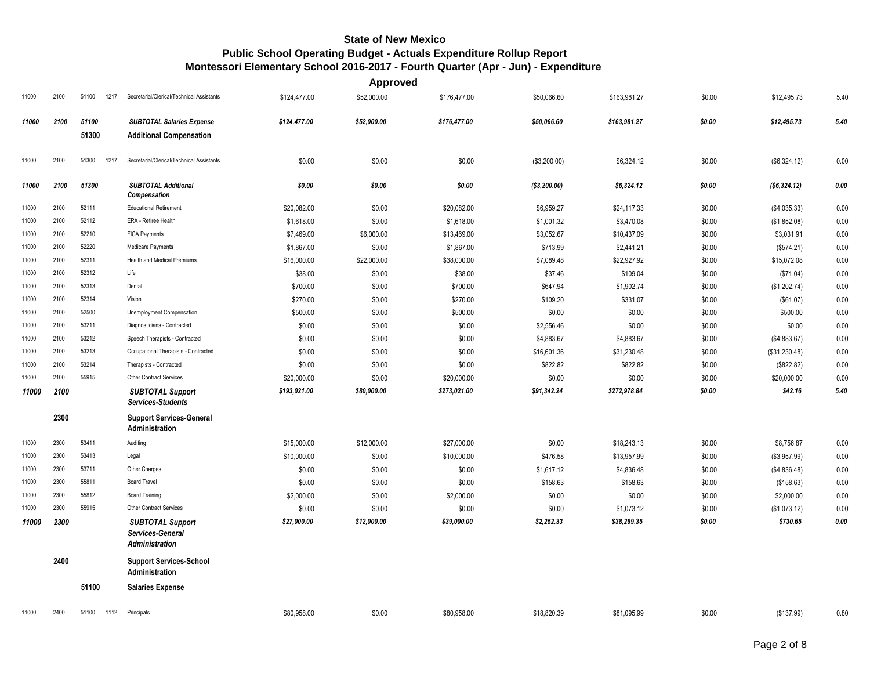|       |      |               |                                                               |              | <b>Approved</b> |              |              |              |        |               |      |
|-------|------|---------------|---------------------------------------------------------------|--------------|-----------------|--------------|--------------|--------------|--------|---------------|------|
| 11000 | 2100 | 51100<br>1217 | Secretarial/Clerical/Technical Assistants                     | \$124,477.00 | \$52,000.00     | \$176,477.00 | \$50,066.60  | \$163,981.27 | \$0.00 | \$12,495.73   | 5.40 |
| 11000 | 2100 | 51100         | <b>SUBTOTAL Salaries Expense</b>                              | \$124,477.00 | \$52,000.00     | \$176,477.00 | \$50,066.60  | \$163,981.27 | \$0.00 | \$12,495.73   | 5.40 |
|       |      | 51300         | <b>Additional Compensation</b>                                |              |                 |              |              |              |        |               |      |
| 11000 | 2100 | 51300<br>1217 | Secretarial/Clerical/Technical Assistants                     | \$0.00       | \$0.00          | \$0.00       | (\$3,200.00) | \$6,324.12   | \$0.00 | (\$6,324.12)  | 0.00 |
| 11000 | 2100 | 51300         | <b>SUBTOTAL Additional</b><br><b>Compensation</b>             | \$0.00       | \$0.00          | \$0.00       | (\$3,200.00) | \$6,324.12   | \$0.00 | (\$6,324.12)  | 0.00 |
| 11000 | 2100 | 52111         | <b>Educational Retirement</b>                                 | \$20,082.00  | \$0.00          | \$20,082.00  | \$6,959.27   | \$24,117.33  | \$0.00 | (\$4,035.33)  | 0.00 |
| 11000 | 2100 | 52112         | ERA - Retiree Health                                          | \$1,618.00   | \$0.00          | \$1,618.00   | \$1,001.32   | \$3,470.08   | \$0.00 | (\$1,852.08)  | 0.00 |
| 11000 | 2100 | 52210         | <b>FICA Payments</b>                                          | \$7,469.00   | \$6,000.00      | \$13,469.00  | \$3,052.67   | \$10,437.09  | \$0.00 | \$3,031.91    | 0.00 |
| 11000 | 2100 | 52220         | Medicare Payments                                             | \$1,867.00   | \$0.00          | \$1,867.00   | \$713.99     | \$2,441.21   | \$0.00 | (\$574.21)    | 0.00 |
| 11000 | 2100 | 52311         | Health and Medical Premiums                                   | \$16,000.00  | \$22,000.00     | \$38,000.00  | \$7,089.48   | \$22,927.92  | \$0.00 | \$15,072.08   | 0.00 |
| 11000 | 2100 | 52312         | Life                                                          | \$38.00      | \$0.00          | \$38.00      | \$37.46      | \$109.04     | \$0.00 | (\$71.04)     | 0.00 |
| 11000 | 2100 | 52313         | Dental                                                        | \$700.00     | \$0.00          | \$700.00     | \$647.94     | \$1,902.74   | \$0.00 | (\$1,202.74)  | 0.00 |
| 11000 | 2100 | 52314         | Vision                                                        | \$270.00     | \$0.00          | \$270.00     | \$109.20     | \$331.07     | \$0.00 | (\$61.07)     | 0.00 |
| 11000 | 2100 | 52500         | Unemployment Compensation                                     | \$500.00     | \$0.00          | \$500.00     | \$0.00       | \$0.00       | \$0.00 | \$500.00      | 0.00 |
| 11000 | 2100 | 53211         | Diagnosticians - Contracted                                   | \$0.00       | \$0.00          | \$0.00       | \$2,556.46   | \$0.00       | \$0.00 | \$0.00        | 0.00 |
| 11000 | 2100 | 53212         | Speech Therapists - Contracted                                | \$0.00       | \$0.00          | \$0.00       | \$4,883.67   | \$4,883.67   | \$0.00 | (\$4,883.67)  | 0.00 |
| 11000 | 2100 | 53213         | Occupational Therapists - Contracted                          | \$0.00       | \$0.00          | \$0.00       | \$16,601.36  | \$31,230.48  | \$0.00 | (\$31,230.48) | 0.00 |
| 11000 | 2100 | 53214         | Therapists - Contracted                                       | \$0.00       | \$0.00          | \$0.00       | \$822.82     | \$822.82     | \$0.00 | (\$822.82)    | 0.00 |
| 11000 | 2100 | 55915         | <b>Other Contract Services</b>                                | \$20,000.00  | \$0.00          | \$20,000.00  | \$0.00       | \$0.00       | \$0.00 | \$20,000.00   | 0.00 |
| 11000 | 2100 |               | <b>SUBTOTAL Support</b><br><b>Services-Students</b>           | \$193,021.00 | \$80,000.00     | \$273,021.00 | \$91,342.24  | \$272,978.84 | \$0.00 | \$42.16       | 5.40 |
|       | 2300 |               | <b>Support Services-General</b><br>Administration             |              |                 |              |              |              |        |               |      |
| 11000 | 2300 | 53411         | Auditing                                                      | \$15,000.00  | \$12,000.00     | \$27,000.00  | \$0.00       | \$18,243.13  | \$0.00 | \$8,756.87    | 0.00 |
| 11000 | 2300 | 53413         | Legal                                                         | \$10,000.00  | \$0.00          | \$10,000.00  | \$476.58     | \$13,957.99  | \$0.00 | (\$3,957.99)  | 0.00 |
| 11000 | 2300 | 53711         | Other Charges                                                 | \$0.00       | \$0.00          | \$0.00       | \$1,617.12   | \$4,836.48   | \$0.00 | (\$4,836.48)  | 0.00 |
| 11000 | 2300 | 55811         | <b>Board Travel</b>                                           | \$0.00       | \$0.00          | \$0.00       | \$158.63     | \$158.63     | \$0.00 | (\$158.63)    | 0.00 |
| 11000 | 2300 | 55812         | <b>Board Training</b>                                         | \$2,000.00   | \$0.00          | \$2,000.00   | \$0.00       | \$0.00       | \$0.00 | \$2,000.00    | 0.00 |
| 11000 | 2300 | 55915         | <b>Other Contract Services</b>                                | \$0.00       | \$0.00          | \$0.00       | \$0.00       | \$1,073.12   | \$0.00 | (\$1,073.12)  | 0.00 |
| 11000 | 2300 |               | <b>SUBTOTAL Support</b><br>Services-General<br>Administration | \$27,000.00  | \$12,000.00     | \$39,000.00  | \$2,252.33   | \$38,269.35  | \$0.00 | \$730.65      | 0.00 |
|       | 2400 |               | <b>Support Services-School</b><br>Administration              |              |                 |              |              |              |        |               |      |
|       |      | 51100         | <b>Salaries Expense</b>                                       |              |                 |              |              |              |        |               |      |
| 11000 | 2400 | 51100<br>1112 | Principals                                                    | \$80.958.00  | \$0.00          | \$80,958,00  | \$18,820.39  | \$81.095.99  | \$0.00 | (\$137.99)    | 0.80 |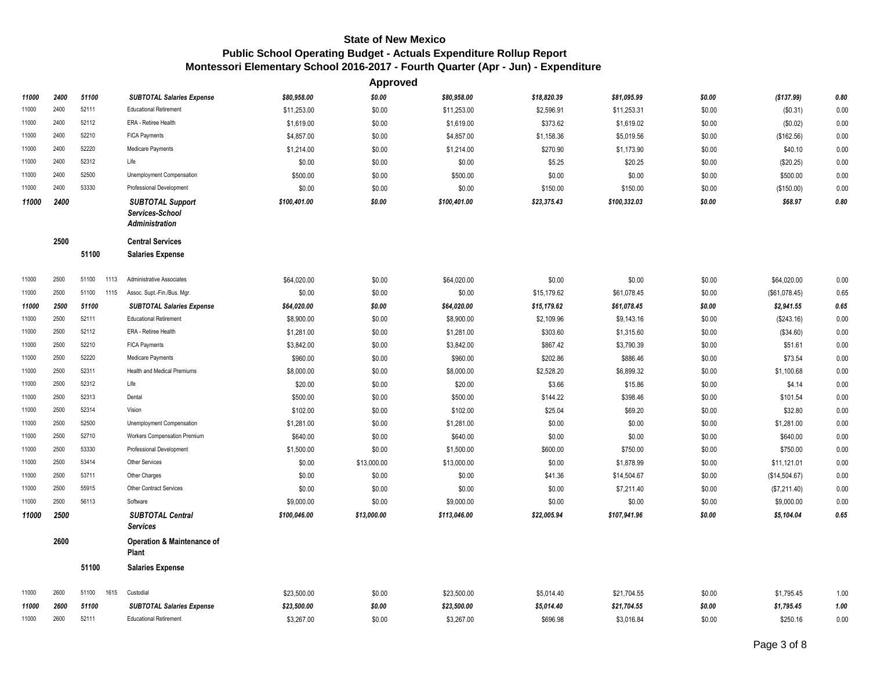|       |      |               |                                                                     |              | Approved    |              |             |              |        |               |      |
|-------|------|---------------|---------------------------------------------------------------------|--------------|-------------|--------------|-------------|--------------|--------|---------------|------|
| 11000 | 2400 | 51100         | <b>SUBTOTAL Salaries Expense</b>                                    | \$80,958.00  | \$0.00      | \$80,958.00  | \$18,820.39 | \$81,095.99  | \$0.00 | (\$137.99)    | 0.80 |
| 11000 | 2400 | 52111         | <b>Educational Retirement</b>                                       | \$11,253.00  | \$0.00      | \$11,253.00  | \$2,596.91  | \$11,253.31  | \$0.00 | (\$0.31)      | 0.00 |
| 11000 | 2400 | 52112         | ERA - Retiree Health                                                | \$1,619.00   | \$0.00      | \$1,619.00   | \$373.62    | \$1,619.02   | \$0.00 | (\$0.02)      | 0.00 |
| 11000 | 2400 | 52210         | <b>FICA Payments</b>                                                | \$4,857.00   | \$0.00      | \$4,857.00   | \$1,158.36  | \$5,019.56   | \$0.00 | (\$162.56)    | 0.00 |
| 11000 | 2400 | 52220         | Medicare Payments                                                   | \$1,214.00   | \$0.00      | \$1,214.00   | \$270.90    | \$1,173.90   | \$0.00 | \$40.10       | 0.00 |
| 11000 | 2400 | 52312         | Life                                                                | \$0.00       | \$0.00      | \$0.00       | \$5.25      | \$20.25      | \$0.00 | (\$20.25)     | 0.00 |
| 11000 | 2400 | 52500         | Unemployment Compensation                                           | \$500.00     | \$0.00      | \$500.00     | \$0.00      | \$0.00       | \$0.00 | \$500.00      | 0.00 |
| 11000 | 2400 | 53330         | Professional Development                                            | \$0.00       | \$0.00      | \$0.00       | \$150.00    | \$150.00     | \$0.00 | (\$150.00)    | 0.00 |
| 11000 | 2400 |               | <b>SUBTOTAL Support</b><br>Services-School<br><b>Administration</b> | \$100,401.00 | \$0.00      | \$100,401.00 | \$23,375.43 | \$100,332.03 | \$0.00 | \$68.97       | 0.80 |
|       | 2500 | 51100         | <b>Central Services</b><br><b>Salaries Expense</b>                  |              |             |              |             |              |        |               |      |
| 11000 | 2500 | 51100<br>1113 | Administrative Associates                                           | \$64,020.00  | \$0.00      | \$64,020.00  | \$0.00      | \$0.00       | \$0.00 | \$64,020.00   | 0.00 |
| 11000 | 2500 | 51100<br>1115 | Assoc. Supt.-Fin./Bus. Mgr.                                         | \$0.00       | \$0.00      | \$0.00       | \$15,179.62 | \$61,078.45  | \$0.00 | (\$61,078.45) | 0.65 |
| 11000 | 2500 | 51100         | <b>SUBTOTAL Salaries Expense</b>                                    | \$64,020.00  | \$0.00      | \$64,020.00  | \$15,179.62 | \$61,078.45  | \$0.00 | \$2,941.55    | 0.65 |
| 11000 | 2500 | 52111         | <b>Educational Retirement</b>                                       | \$8,900.00   | \$0.00      | \$8,900.00   | \$2,109.96  | \$9,143.16   | \$0.00 | (\$243.16)    | 0.00 |
| 11000 | 2500 | 52112         | ERA - Retiree Health                                                | \$1,281.00   | \$0.00      | \$1,281.00   | \$303.60    | \$1,315.60   | \$0.00 | (\$34.60)     | 0.00 |
| 11000 | 2500 | 52210         | <b>FICA Payments</b>                                                | \$3,842.00   | \$0.00      | \$3,842.00   | \$867.42    | \$3,790.39   | \$0.00 | \$51.61       | 0.00 |
| 11000 | 2500 | 52220         | Medicare Payments                                                   | \$960.00     | \$0.00      | \$960.00     | \$202.86    | \$886.46     | \$0.00 | \$73.54       | 0.00 |
| 11000 | 2500 | 52311         | <b>Health and Medical Premiums</b>                                  | \$8,000.00   | \$0.00      | \$8,000.00   | \$2,528.20  | \$6,899.32   | \$0.00 | \$1,100.68    | 0.00 |
| 11000 | 2500 | 52312         | Life                                                                | \$20.00      | \$0.00      | \$20.00      | \$3.66      | \$15.86      | \$0.00 | \$4.14        | 0.00 |
| 11000 | 2500 | 52313         | Dental                                                              | \$500.00     | \$0.00      | \$500.00     | \$144.22    | \$398.46     | \$0.00 | \$101.54      | 0.00 |
| 11000 | 2500 | 52314         | Vision                                                              | \$102.00     | \$0.00      | \$102.00     | \$25.04     | \$69.20      | \$0.00 | \$32.80       | 0.00 |
| 11000 | 2500 | 52500         | Unemployment Compensation                                           | \$1,281.00   | \$0.00      | \$1,281.00   | \$0.00      | \$0.00       | \$0.00 | \$1,281.00    | 0.00 |
| 11000 | 2500 | 52710         | Workers Compensation Premium                                        | \$640.00     | \$0.00      | \$640.00     | \$0.00      | \$0.00       | \$0.00 | \$640.00      | 0.00 |
| 11000 | 2500 | 53330         | Professional Development                                            | \$1,500.00   | \$0.00      | \$1,500.00   | \$600.00    | \$750.00     | \$0.00 | \$750.00      | 0.00 |
| 11000 | 2500 | 53414         | Other Services                                                      | \$0.00       | \$13,000.00 | \$13,000.00  | \$0.00      | \$1,878.99   | \$0.00 | \$11,121.01   | 0.00 |
| 11000 | 2500 | 53711         | Other Charges                                                       | \$0.00       | \$0.00      | \$0.00       | \$41.36     | \$14,504.67  | \$0.00 | (\$14,504.67) | 0.00 |
| 11000 | 2500 | 55915         | <b>Other Contract Services</b>                                      | \$0.00       | \$0.00      | \$0.00       | \$0.00      | \$7,211.40   | \$0.00 | (\$7,211.40)  | 0.00 |
| 11000 | 2500 | 56113         | Software                                                            | \$9,000.00   | \$0.00      | \$9,000.00   | \$0.00      | \$0.00       | \$0.00 | \$9,000.00    | 0.00 |
| 11000 | 2500 |               | <b>SUBTOTAL Central</b><br><b>Services</b>                          | \$100,046.00 | \$13,000.00 | \$113,046.00 | \$22,005.94 | \$107,941.96 | \$0.00 | \$5,104.04    | 0.65 |
|       | 2600 |               | Operation & Maintenance of<br>Plant                                 |              |             |              |             |              |        |               |      |
|       |      | 51100         | <b>Salaries Expense</b>                                             |              |             |              |             |              |        |               |      |
| 11000 | 2600 | 51100<br>1615 | Custodial                                                           | \$23,500.00  | \$0.00      | \$23,500.00  | \$5,014.40  | \$21,704.55  | \$0.00 | \$1,795.45    | 1.00 |
| 11000 | 2600 | 51100         | <b>SUBTOTAL Salaries Expense</b>                                    | \$23,500.00  | \$0.00      | \$23,500.00  | \$5,014.40  | \$21,704.55  | \$0.00 | \$1,795.45    | 1.00 |
| 11000 | 2600 | 52111         | <b>Educational Retirement</b>                                       | \$3,267.00   | \$0.00      | \$3,267.00   | \$696.98    | \$3,016.84   | \$0.00 | \$250.16      | 0.00 |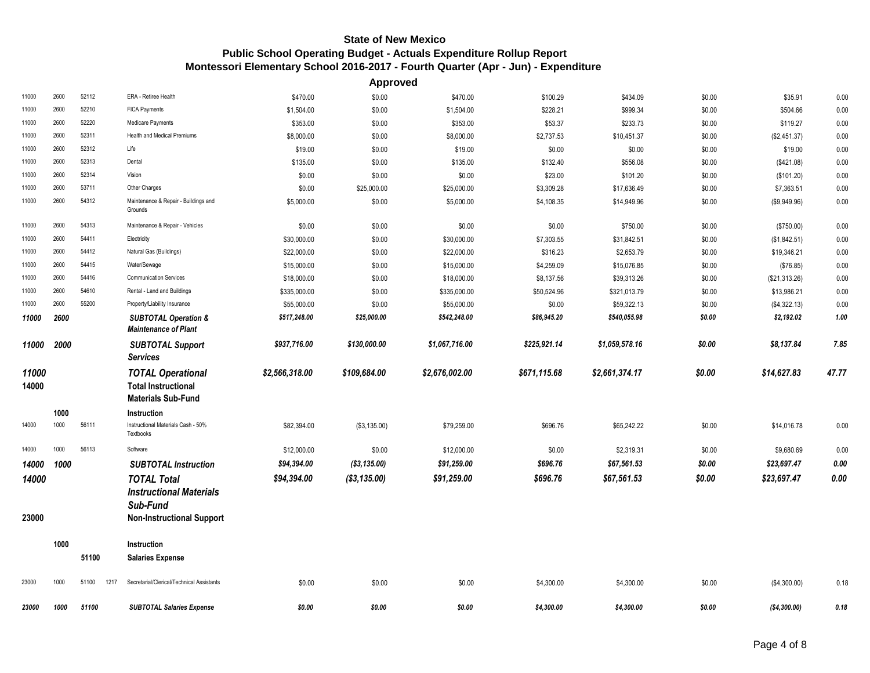|                |              |               |                                                                                                      |                | <b>Approved</b> |                |              |                |        |               |       |
|----------------|--------------|---------------|------------------------------------------------------------------------------------------------------|----------------|-----------------|----------------|--------------|----------------|--------|---------------|-------|
| 11000          | 2600         | 52112         | ERA - Retiree Health                                                                                 | \$470.00       | \$0.00          | \$470.00       | \$100.29     | \$434.09       | \$0.00 | \$35.91       | 0.00  |
| 11000          | 2600         | 52210         | FICA Payments                                                                                        | \$1,504.00     | \$0.00          | \$1,504.00     | \$228.21     | \$999.34       | \$0.00 | \$504.66      | 0.00  |
| 11000          | 2600         | 52220         | Medicare Payments                                                                                    | \$353.00       | \$0.00          | \$353.00       | \$53.37      | \$233.73       | \$0.00 | \$119.27      | 0.00  |
| 11000          | 2600         | 52311         | Health and Medical Premiums                                                                          | \$8,000.00     | \$0.00          | \$8,000.00     | \$2,737.53   | \$10,451.37    | \$0.00 | (\$2,451.37)  | 0.00  |
| 11000          | 2600         | 52312         | Life                                                                                                 | \$19.00        | \$0.00          | \$19.00        | \$0.00       | \$0.00         | \$0.00 | \$19.00       | 0.00  |
| 11000          | 2600         | 52313         | Dental                                                                                               | \$135.00       | \$0.00          | \$135.00       | \$132.40     | \$556.08       | \$0.00 | (\$421.08)    | 0.00  |
| 11000          | 2600         | 52314         | Vision                                                                                               | \$0.00         | \$0.00          | \$0.00         | \$23.00      | \$101.20       | \$0.00 | (\$101.20)    | 0.00  |
| 11000          | 2600         | 53711         | Other Charges                                                                                        | \$0.00         | \$25,000.00     | \$25,000.00    | \$3,309.28   | \$17,636.49    | \$0.00 | \$7,363.51    | 0.00  |
| 11000          | 2600         | 54312         | Maintenance & Repair - Buildings and<br>Grounds                                                      | \$5,000.00     | \$0.00          | \$5,000.00     | \$4,108.35   | \$14,949.96    | \$0.00 | (\$9,949.96)  | 0.00  |
| 11000          | 2600         | 54313         | Maintenance & Repair - Vehicles                                                                      | \$0.00         | \$0.00          | \$0.00         | \$0.00       | \$750.00       | \$0.00 | (\$750.00)    | 0.00  |
| 11000          | 2600         | 54411         | Electricity                                                                                          | \$30,000.00    | \$0.00          | \$30,000.00    | \$7,303.55   | \$31,842.51    | \$0.00 | (\$1,842.51)  | 0.00  |
| 11000          | 2600         | 54412         | Natural Gas (Buildings)                                                                              | \$22,000.00    | \$0.00          | \$22,000.00    | \$316.23     | \$2,653.79     | \$0.00 | \$19,346.21   | 0.00  |
| 11000          | 2600         | 54415         | Water/Sewage                                                                                         | \$15,000.00    | \$0.00          | \$15,000.00    | \$4,259.09   | \$15,076.85    | \$0.00 | (\$76.85)     | 0.00  |
| 11000          | 2600         | 54416         | <b>Communication Services</b>                                                                        | \$18,000.00    | \$0.00          | \$18,000.00    | \$8,137.56   | \$39,313.26    | \$0.00 | (\$21,313.26) | 0.00  |
| 11000          | 2600         | 54610         | Rental - Land and Buildings                                                                          | \$335,000.00   | \$0.00          | \$335,000.00   | \$50,524.96  | \$321,013.79   | \$0.00 | \$13,986.21   | 0.00  |
| 11000          | 2600         | 55200         | Property/Liability Insurance                                                                         | \$55,000.00    | \$0.00          | \$55,000.00    | \$0.00       | \$59,322.13    | \$0.00 | (\$4,322.13)  | 0.00  |
| 11000          | 2600         |               | <b>SUBTOTAL Operation &amp;</b><br><b>Maintenance of Plant</b>                                       | \$517,248.00   | \$25,000.00     | \$542,248.00   | \$86,945.20  | \$540,055.98   | \$0.00 | \$2,192.02    | 1.00  |
| 11000          | 2000         |               | <b>SUBTOTAL Support</b><br><b>Services</b>                                                           | \$937,716.00   | \$130,000.00    | \$1,067,716.00 | \$225,921.14 | \$1,059,578.16 | \$0.00 | \$8,137.84    | 7.85  |
| 11000<br>14000 |              |               | <b>TOTAL Operational</b><br><b>Total Instructional</b><br><b>Materials Sub-Fund</b>                  | \$2,566,318.00 | \$109,684.00    | \$2,676,002.00 | \$671,115.68 | \$2,661,374.17 | \$0.00 | \$14,627.83   | 47.77 |
| 14000          | 1000<br>1000 | 56111         | Instruction<br>Instructional Materials Cash - 50%<br>Textbooks                                       | \$82,394.00    | (\$3,135.00)    | \$79,259.00    | \$696.76     | \$65,242.22    | \$0.00 | \$14,016.78   | 0.00  |
| 14000          | 1000         | 56113         | Software                                                                                             | \$12,000.00    | \$0.00          | \$12,000.00    | \$0.00       | \$2,319.31     | \$0.00 | \$9,680.69    | 0.00  |
| 14000          | 1000         |               | <b>SUBTOTAL Instruction</b>                                                                          | \$94,394.00    | (\$3,135.00)    | \$91,259.00    | \$696.76     | \$67,561.53    | \$0.00 | \$23,697.47   | 0.00  |
| 14000<br>23000 |              |               | <b>TOTAL Total</b><br><b>Instructional Materials</b><br>Sub-Fund<br><b>Non-Instructional Support</b> | \$94,394.00    | ( \$3,135.00)   | \$91,259.00    | \$696.76     | \$67,561.53    | \$0.00 | \$23,697.47   | 0.00  |
|                | 1000         | 51100         | Instruction<br><b>Salaries Expense</b>                                                               |                |                 |                |              |                |        |               |       |
| 23000          | 1000         | 51100<br>1217 | Secretarial/Clerical/Technical Assistants                                                            | \$0.00         | \$0.00          | \$0.00         | \$4,300.00   | \$4,300.00     | \$0.00 | (\$4,300.00)  | 0.18  |
| 23000          | 1000         | 51100         | <b>SUBTOTAL Salaries Expense</b>                                                                     | \$0.00         | \$0.00          | \$0.00         | \$4,300.00   | \$4.300.00     | \$0.00 | (S4, 300, 00) | 0.18  |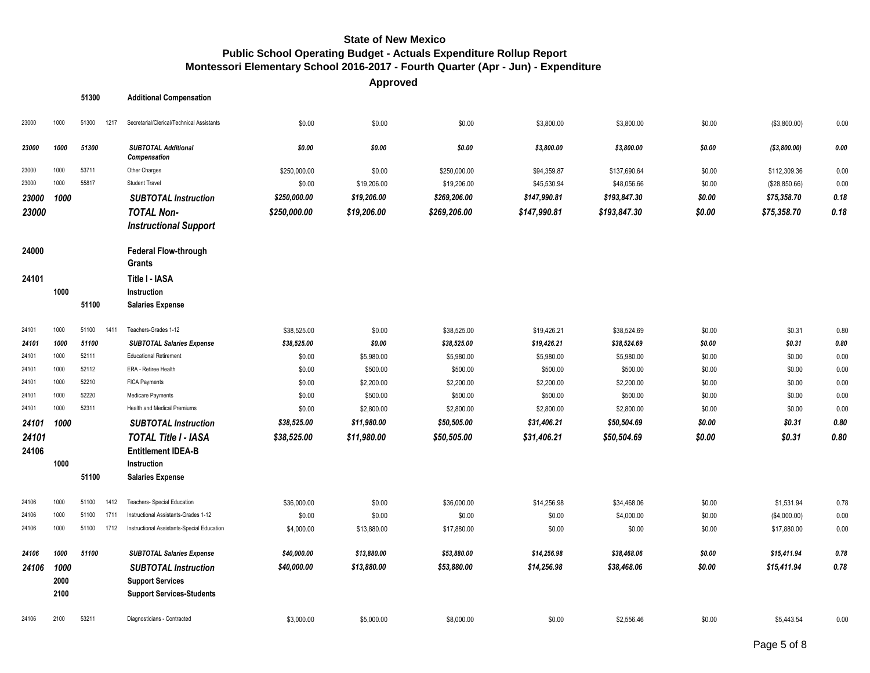**Approved**

| 23000<br>23000<br>23000<br>23000<br>23000<br>23000 | 1000<br>1000<br>1000<br>1000<br>1000 | 51300<br>51300<br>1217<br>51300<br>53711 | <b>Additional Compensation</b><br>Secretarial/Clerical/Technical Assistants<br><b>SUBTOTAL Additional</b> | \$0.00       | \$0.00      | \$0.00       |              |              |        |               |      |
|----------------------------------------------------|--------------------------------------|------------------------------------------|-----------------------------------------------------------------------------------------------------------|--------------|-------------|--------------|--------------|--------------|--------|---------------|------|
|                                                    |                                      |                                          |                                                                                                           |              |             |              |              |              |        |               |      |
|                                                    |                                      |                                          |                                                                                                           |              |             |              | \$3,800.00   | \$3,800.00   | \$0.00 | (\$3,800.00)  | 0.00 |
|                                                    |                                      |                                          | Compensation                                                                                              | \$0.00       | \$0.00      | \$0.00       | \$3,800.00   | \$3,800.00   | \$0.00 | (\$3,800.00)  | 0.00 |
|                                                    |                                      |                                          | Other Charges                                                                                             | \$250,000.00 | \$0.00      | \$250,000.00 | \$94,359.87  | \$137,690.64 | \$0.00 | \$112,309.36  | 0.00 |
|                                                    |                                      | 55817                                    | <b>Student Travel</b>                                                                                     | \$0.00       | \$19,206.00 | \$19,206.00  | \$45,530.94  | \$48,056.66  | \$0.00 | (\$28,850.66) | 0.00 |
|                                                    |                                      |                                          | <b>SUBTOTAL Instruction</b>                                                                               | \$250,000.00 | \$19,206.00 | \$269,206.00 | \$147,990.81 | \$193,847.30 | \$0.00 | \$75,358.70   | 0.18 |
|                                                    |                                      |                                          | <b>TOTAL Non-</b>                                                                                         | \$250,000.00 | \$19,206.00 | \$269,206.00 | \$147,990.81 | \$193,847.30 | \$0.00 | \$75,358.70   | 0.18 |
|                                                    |                                      |                                          | <b>Instructional Support</b>                                                                              |              |             |              |              |              |        |               |      |
| 24000                                              |                                      |                                          | <b>Federal Flow-through</b><br>Grants                                                                     |              |             |              |              |              |        |               |      |
| 24101                                              |                                      |                                          | Title I - IASA                                                                                            |              |             |              |              |              |        |               |      |
|                                                    | 1000                                 |                                          | Instruction                                                                                               |              |             |              |              |              |        |               |      |
|                                                    |                                      | 51100                                    | <b>Salaries Expense</b>                                                                                   |              |             |              |              |              |        |               |      |
| 24101                                              | 1000                                 | 51100<br>1411                            | Teachers-Grades 1-12                                                                                      | \$38,525.00  | \$0.00      | \$38,525.00  | \$19,426.21  | \$38,524.69  | \$0.00 | \$0.31        | 0.80 |
| 24101                                              | 1000                                 | 51100                                    | <b>SUBTOTAL Salaries Expense</b>                                                                          | \$38,525.00  | \$0.00      | \$38,525.00  | \$19,426.21  | \$38,524.69  | \$0.00 | \$0.31        | 0.80 |
| 24101                                              | 1000                                 | 52111                                    | <b>Educational Retirement</b>                                                                             | \$0.00       | \$5,980.00  | \$5,980.00   | \$5,980.00   | \$5,980.00   | \$0.00 | \$0.00        | 0.00 |
| 24101                                              | 1000                                 | 52112                                    | ERA - Retiree Health                                                                                      | \$0.00       | \$500.00    | \$500.00     | \$500.00     | \$500.00     | \$0.00 | \$0.00        | 0.00 |
| 24101                                              | 1000                                 | 52210                                    | FICA Payments                                                                                             | \$0.00       | \$2,200.00  | \$2,200.00   | \$2,200.00   | \$2,200.00   | \$0.00 | \$0.00        | 0.00 |
| 24101                                              | 1000                                 | 52220                                    | Medicare Payments                                                                                         | \$0.00       | \$500.00    | \$500.00     | \$500.00     | \$500.00     | \$0.00 | \$0.00        | 0.00 |
| 24101                                              | 1000                                 | 52311                                    | <b>Health and Medical Premiums</b>                                                                        | \$0.00       | \$2,800.00  | \$2,800.00   | \$2,800.00   | \$2,800.00   | \$0.00 | \$0.00        | 0.00 |
| 24101                                              | 1000                                 |                                          | <b>SUBTOTAL Instruction</b>                                                                               | \$38,525.00  | \$11,980.00 | \$50,505.00  | \$31,406.21  | \$50,504.69  | \$0.00 | \$0.31        | 0.80 |
| 24101                                              |                                      |                                          | <b>TOTAL Title I - IASA</b>                                                                               | \$38,525.00  | \$11,980.00 | \$50,505.00  | \$31,406.21  | \$50,504.69  | \$0.00 | \$0.31        | 0.80 |
| 24106                                              |                                      |                                          | <b>Entitlement IDEA-B</b>                                                                                 |              |             |              |              |              |        |               |      |
|                                                    | 1000                                 |                                          | Instruction                                                                                               |              |             |              |              |              |        |               |      |
|                                                    |                                      | 51100                                    | <b>Salaries Expense</b>                                                                                   |              |             |              |              |              |        |               |      |
| 24106                                              | 1000                                 | 51100<br>1412                            | Teachers- Special Education                                                                               | \$36,000.00  | \$0.00      | \$36,000.00  | \$14,256.98  | \$34,468.06  | \$0.00 | \$1,531.94    | 0.78 |
| 24106                                              | 1000                                 | 1711<br>51100                            | Instructional Assistants-Grades 1-12                                                                      | \$0.00       | \$0.00      | \$0.00       | \$0.00       | \$4,000.00   | \$0.00 | (\$4,000.00)  | 0.00 |
| 24106                                              | 1000                                 | 51100<br>1712                            | Instructional Assistants-Special Education                                                                | \$4,000.00   | \$13,880.00 | \$17,880.00  | \$0.00       | \$0.00       | \$0.00 | \$17,880.00   | 0.00 |
| 24106                                              | 1000                                 | 51100                                    | <b>SUBTOTAL Salaries Expense</b>                                                                          | \$40,000.00  | \$13,880.00 | \$53,880.00  | \$14,256.98  | \$38,468.06  | \$0.00 | \$15,411.94   | 0.78 |
| 24106                                              | 1000                                 |                                          | <b>SUBTOTAL Instruction</b>                                                                               | \$40,000.00  | \$13,880.00 | \$53,880.00  | \$14,256.98  | \$38,468.06  | \$0.00 | \$15,411.94   | 0.78 |
|                                                    | 2000                                 |                                          | <b>Support Services</b>                                                                                   |              |             |              |              |              |        |               |      |
|                                                    | 2100                                 |                                          | <b>Support Services-Students</b>                                                                          |              |             |              |              |              |        |               |      |
| 24106                                              |                                      | 53211                                    | Diagnosticians - Contracted                                                                               | \$3,000.00   | \$5,000.00  | \$8,000.00   | \$0.00       | \$2,556.46   | \$0.00 | \$5,443.54    | 0.00 |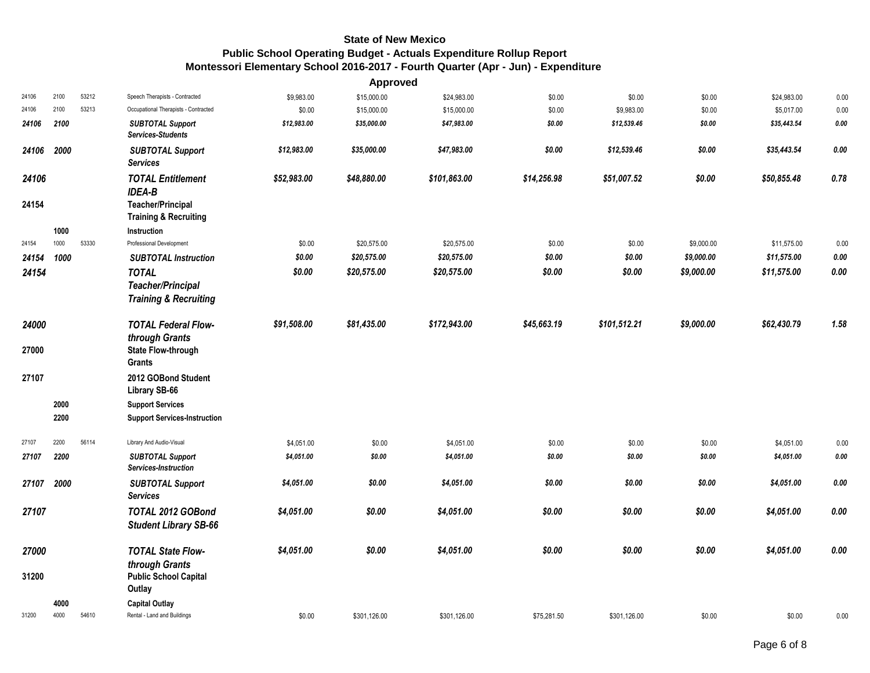|       |      |       |                                                              |             | Approved     |              |             |              |            |             |          |
|-------|------|-------|--------------------------------------------------------------|-------------|--------------|--------------|-------------|--------------|------------|-------------|----------|
| 24106 | 2100 | 53212 | Speech Therapists - Contracted                               | \$9,983.00  | \$15,000.00  | \$24,983.00  | \$0.00      | \$0.00       | \$0.00     | \$24,983.00 | 0.00     |
| 24106 | 2100 | 53213 | Occupational Therapists - Contracted                         | \$0.00      | \$15,000.00  | \$15,000.00  | \$0.00      | \$9,983.00   | \$0.00     | \$5,017.00  | 0.00     |
| 24106 | 2100 |       | <b>SUBTOTAL Support</b><br>Services-Students                 | \$12,983.00 | \$35,000.00  | \$47,983.00  | \$0.00      | \$12,539.46  | \$0.00     | \$35,443.54 | $0.00\,$ |
| 24106 | 2000 |       | <b>SUBTOTAL Support</b><br><b>Services</b>                   | \$12,983.00 | \$35,000.00  | \$47,983.00  | \$0.00      | \$12,539.46  | \$0.00     | \$35,443.54 | 0.00     |
| 24106 |      |       | <b>TOTAL Entitlement</b><br><b>IDEA-B</b>                    | \$52,983.00 | \$48,880.00  | \$101,863.00 | \$14,256.98 | \$51,007.52  | \$0.00     | \$50,855.48 | 0.78     |
| 24154 |      |       | <b>Teacher/Principal</b><br><b>Training &amp; Recruiting</b> |             |              |              |             |              |            |             |          |
|       | 1000 |       | Instruction                                                  |             |              |              |             |              |            |             |          |
| 24154 | 1000 | 53330 | Professional Development                                     | \$0.00      | \$20,575.00  | \$20,575.00  | \$0.00      | \$0.00       | \$9,000.00 | \$11,575.00 | 0.00     |
| 24154 | 1000 |       | <b>SUBTOTAL Instruction</b>                                  | \$0.00      | \$20,575.00  | \$20,575.00  | \$0.00      | \$0.00       | \$9,000.00 | \$11,575.00 | 0.00     |
| 24154 |      |       | <b>TOTAL</b>                                                 | \$0.00      | \$20,575.00  | \$20,575.00  | \$0.00      | \$0.00       | \$9,000.00 | \$11,575.00 | $0.00\,$ |
|       |      |       | <b>Teacher/Principal</b>                                     |             |              |              |             |              |            |             |          |
|       |      |       | <b>Training &amp; Recruiting</b>                             |             |              |              |             |              |            |             |          |
| 24000 |      |       | <b>TOTAL Federal Flow-</b>                                   | \$91,508.00 | \$81,435.00  | \$172,943.00 | \$45,663.19 | \$101,512.21 | \$9,000.00 | \$62,430.79 | 1.58     |
|       |      |       | through Grants                                               |             |              |              |             |              |            |             |          |
| 27000 |      |       | <b>State Flow-through</b><br><b>Grants</b>                   |             |              |              |             |              |            |             |          |
| 27107 |      |       | 2012 GOBond Student<br>Library SB-66                         |             |              |              |             |              |            |             |          |
|       | 2000 |       | <b>Support Services</b>                                      |             |              |              |             |              |            |             |          |
|       | 2200 |       | <b>Support Services-Instruction</b>                          |             |              |              |             |              |            |             |          |
| 27107 | 2200 | 56114 | Library And Audio-Visual                                     | \$4,051.00  | \$0.00       | \$4,051.00   | \$0.00      | \$0.00       | \$0.00     | \$4,051.00  | 0.00     |
| 27107 | 2200 |       | <b>SUBTOTAL Support</b><br>Services-Instruction              | \$4,051.00  | \$0.00       | \$4,051.00   | \$0.00      | \$0.00       | \$0.00     | \$4,051.00  | 0.00     |
| 27107 | 2000 |       | <b>SUBTOTAL Support</b><br><b>Services</b>                   | \$4,051.00  | \$0.00       | \$4,051.00   | \$0.00      | \$0.00       | \$0.00     | \$4,051.00  | 0.00     |
| 27107 |      |       | TOTAL 2012 GOBond<br><b>Student Library SB-66</b>            | \$4,051.00  | \$0.00       | \$4,051.00   | \$0.00      | \$0.00       | \$0.00     | \$4,051.00  | $0.00\,$ |
| 27000 |      |       | <b>TOTAL State Flow-</b>                                     | \$4,051.00  | \$0.00       | \$4,051.00   | \$0.00      | \$0.00       | \$0.00     | \$4,051.00  | 0.00     |
| 31200 |      |       | through Grants<br><b>Public School Capital</b>               |             |              |              |             |              |            |             |          |
|       |      |       | Outlay                                                       |             |              |              |             |              |            |             |          |
|       | 4000 |       | <b>Capital Outlay</b>                                        |             |              |              |             |              |            |             |          |
| 31200 | 4000 | 54610 | Rental - Land and Buildings                                  | \$0.00      | \$301,126.00 | \$301,126.00 | \$75,281.50 | \$301,126.00 | \$0.00     | \$0.00      | 0.00     |
|       |      |       |                                                              |             |              |              |             |              |            |             |          |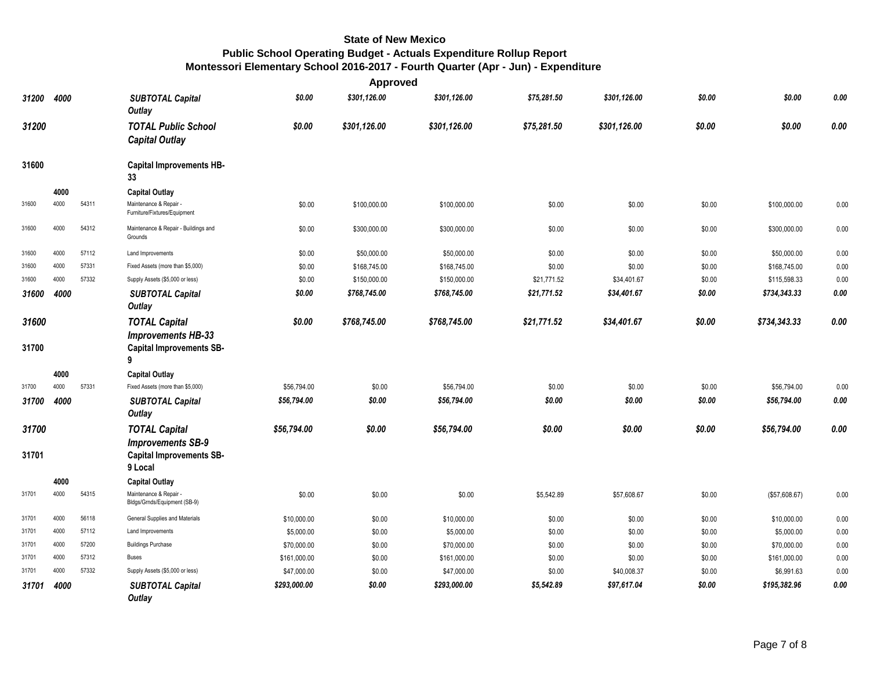|                |      |       |                                                                                                |              | <b>Approved</b> |              |             |              |        |               |      |
|----------------|------|-------|------------------------------------------------------------------------------------------------|--------------|-----------------|--------------|-------------|--------------|--------|---------------|------|
| 31200          | 4000 |       | <b>SUBTOTAL Capital</b><br>Outlay                                                              | \$0.00       | \$301,126.00    | \$301,126.00 | \$75,281.50 | \$301,126.00 | \$0.00 | \$0.00        | 0.00 |
| 31200          |      |       | <b>TOTAL Public School</b><br><b>Capital Outlay</b>                                            | \$0.00       | \$301,126.00    | \$301,126.00 | \$75,281.50 | \$301.126.00 | \$0.00 | \$0.00        | 0.00 |
| 31600          |      |       | <b>Capital Improvements HB-</b><br>33                                                          |              |                 |              |             |              |        |               |      |
|                | 4000 |       | <b>Capital Outlay</b>                                                                          |              |                 |              |             |              |        |               |      |
| 31600          | 4000 | 54311 | Maintenance & Repair -<br>Furniture/Fixtures/Equipment                                         | \$0.00       | \$100,000.00    | \$100,000.00 | \$0.00      | \$0.00       | \$0.00 | \$100,000.00  | 0.00 |
| 31600          | 4000 | 54312 | Maintenance & Repair - Buildings and<br>Grounds                                                | \$0.00       | \$300,000.00    | \$300,000.00 | \$0.00      | \$0.00       | \$0.00 | \$300,000.00  | 0.00 |
| 31600          | 4000 | 57112 | Land Improvements                                                                              | \$0.00       | \$50,000.00     | \$50,000.00  | \$0.00      | \$0.00       | \$0.00 | \$50,000.00   | 0.00 |
| 31600          | 4000 | 57331 | Fixed Assets (more than \$5,000)                                                               | \$0.00       | \$168,745.00    | \$168,745.00 | \$0.00      | \$0.00       | \$0.00 | \$168,745.00  | 0.00 |
| 31600          | 4000 | 57332 | Supply Assets (\$5,000 or less)                                                                | \$0.00       | \$150,000.00    | \$150,000.00 | \$21,771.52 | \$34,401.67  | \$0.00 | \$115,598.33  | 0.00 |
| 31600          | 4000 |       | <b>SUBTOTAL Capital</b><br><b>Outlay</b>                                                       | \$0.00       | \$768,745.00    | \$768,745.00 | \$21,771.52 | \$34,401.67  | \$0.00 | \$734,343.33  | 0.00 |
| 31600<br>31700 |      |       | <b>TOTAL Capital</b><br><b>Improvements HB-33</b><br><b>Capital Improvements SB-</b><br>9      | \$0.00       | \$768,745.00    | \$768,745.00 | \$21,771.52 | \$34,401.67  | \$0.00 | \$734,343.33  | 0.00 |
|                | 4000 |       | <b>Capital Outlay</b>                                                                          |              |                 |              |             |              |        |               |      |
| 31700          | 4000 | 57331 | Fixed Assets (more than \$5,000)                                                               | \$56,794.00  | \$0.00          | \$56,794.00  | \$0.00      | \$0.00       | \$0.00 | \$56,794.00   | 0.00 |
| 31700          | 4000 |       | <b>SUBTOTAL Capital</b><br><b>Outlay</b>                                                       | \$56,794.00  | \$0.00          | \$56,794.00  | \$0.00      | \$0.00       | \$0.00 | \$56,794.00   | 0.00 |
| 31700<br>31701 |      |       | <b>TOTAL Capital</b><br><b>Improvements SB-9</b><br><b>Capital Improvements SB-</b><br>9 Local | \$56,794.00  | \$0.00          | \$56,794.00  | \$0.00      | \$0.00       | \$0.00 | \$56,794.00   | 0.00 |
|                | 4000 |       | <b>Capital Outlay</b>                                                                          |              |                 |              |             |              |        |               |      |
| 31701          | 4000 | 54315 | Maintenance & Repair -<br>Bldgs/Grnds/Equipment (SB-9)                                         | \$0.00       | \$0.00          | \$0.00       | \$5,542.89  | \$57,608.67  | \$0.00 | (\$57,608.67) | 0.00 |
| 31701          | 4000 | 56118 | General Supplies and Materials                                                                 | \$10,000.00  | \$0.00          | \$10,000.00  | \$0.00      | \$0.00       | \$0.00 | \$10,000.00   | 0.00 |
| 31701          | 4000 | 57112 | Land Improvements                                                                              | \$5,000.00   | \$0.00          | \$5,000.00   | \$0.00      | \$0.00       | \$0.00 | \$5,000.00    | 0.00 |
| 31701          | 4000 | 57200 | <b>Buildings Purchase</b>                                                                      | \$70,000.00  | \$0.00          | \$70,000.00  | \$0.00      | \$0.00       | \$0.00 | \$70,000.00   | 0.00 |
| 31701          | 4000 | 57312 | <b>Buses</b>                                                                                   | \$161,000.00 | \$0.00          | \$161,000.00 | \$0.00      | \$0.00       | \$0.00 | \$161,000.00  | 0.00 |
| 31701          | 4000 | 57332 | Supply Assets (\$5,000 or less)                                                                | \$47,000.00  | \$0.00          | \$47,000.00  | \$0.00      | \$40,008.37  | \$0.00 | \$6,991.63    | 0.00 |
| 31701          | 4000 |       | <b>SUBTOTAL Capital</b><br>Outlay                                                              | \$293,000.00 | \$0.00          | \$293,000.00 | \$5,542.89  | \$97,617.04  | \$0.00 | \$195,382.96  | 0.00 |